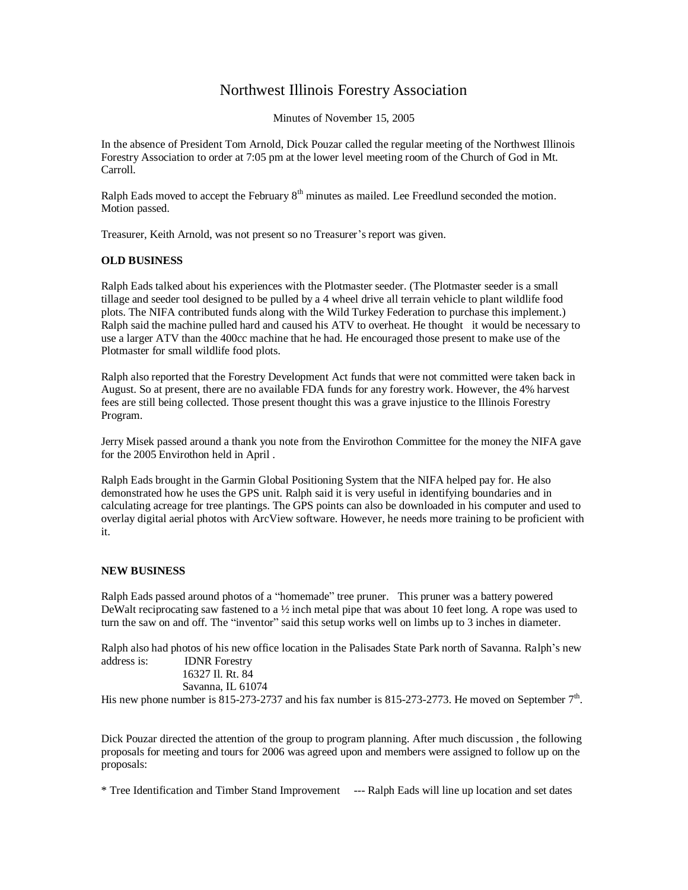## Northwest Illinois Forestry Association

Minutes of November 15, 2005

In the absence of President Tom Arnold, Dick Pouzar called the regular meeting of the Northwest Illinois Forestry Association to order at 7:05 pm at the lower level meeting room of the Church of God in Mt. Carroll.

Ralph Eads moved to accept the February  $8<sup>th</sup>$  minutes as mailed. Lee Freedlund seconded the motion. Motion passed.

Treasurer, Keith Arnold, was not present so no Treasurer's report was given.

## **OLD BUSINESS**

Ralph Eads talked about his experiences with the Plotmaster seeder. (The Plotmaster seeder is a small tillage and seeder tool designed to be pulled by a 4 wheel drive all terrain vehicle to plant wildlife food plots. The NIFA contributed funds along with the Wild Turkey Federation to purchase this implement.) Ralph said the machine pulled hard and caused his ATV to overheat. He thought it would be necessary to use a larger ATV than the 400cc machine that he had. He encouraged those present to make use of the Plotmaster for small wildlife food plots.

Ralph also reported that the Forestry Development Act funds that were not committed were taken back in August. So at present, there are no available FDA funds for any forestry work. However, the 4% harvest fees are still being collected. Those present thought this was a grave injustice to the Illinois Forestry Program.

Jerry Misek passed around a thank you note from the Envirothon Committee for the money the NIFA gave for the 2005 Envirothon held in April .

Ralph Eads brought in the Garmin Global Positioning System that the NIFA helped pay for. He also demonstrated how he uses the GPS unit. Ralph said it is very useful in identifying boundaries and in calculating acreage for tree plantings. The GPS points can also be downloaded in his computer and used to overlay digital aerial photos with ArcView software. However, he needs more training to be proficient with it.

## **NEW BUSINESS**

Ralph Eads passed around photos of a "homemade" tree pruner. This pruner was a battery powered DeWalt reciprocating saw fastened to a  $\frac{1}{2}$  inch metal pipe that was about 10 feet long. A rope was used to turn the saw on and off. The "inventor" said this setup works well on limbs up to 3 inches in diameter.

Ralph also had photos of his new office location in the Palisades State Park north of Savanna. Ralph's new address is: IDNR Forestry

16327 Il. Rt. 84

Savanna, IL 61074

His new phone number is 815-273-2737 and his fax number is 815-273-2773. He moved on September  $7<sup>th</sup>$ .

Dick Pouzar directed the attention of the group to program planning. After much discussion , the following proposals for meeting and tours for 2006 was agreed upon and members were assigned to follow up on the proposals:

\* Tree Identification and Timber Stand Improvement --- Ralph Eads will line up location and set dates